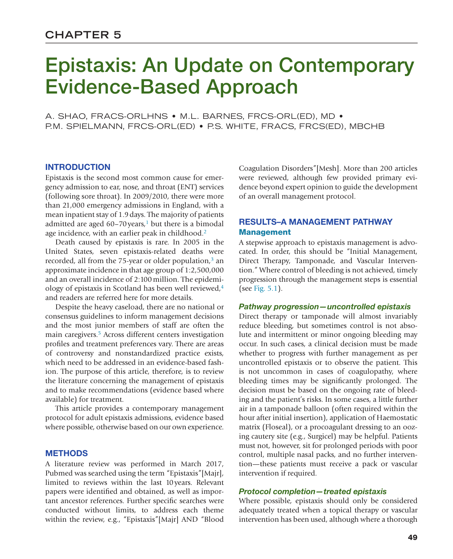# Epistaxis: An Update on Contemporary Evidence-Based Approach

A. SHAO, FRACS-ORLHNS • M.L. BARNES, FRCS-ORL(ED), MD • P.M. SPIELMANN, FRCS-ORL(ED) • P.S. WHITE, FRACS, FRCS(ED), MBCHB

## **INTRODUCTION**

Epistaxis is the second most common cause for emergency admission to ear, nose, and throat (ENT) services (following sore throat). In 2009/2010, there were more than 21,000 emergency admissions in England, with a mean inpatient stay of 1.9days. The majority of patients admitted are aged  $60-70$  years,<sup>[1](#page-6-0)</sup> but there is a bimodal age incidence, with an earlier peak in childhood.<sup>[2](#page-6-1)</sup>

Death caused by epistaxis is rare. In 2005 in the United States, seven epistaxis-related deaths were recorded, all from the 75-year or older population, $3$  an approximate incidence in that age group of 1:2,500,000 and an overall incidence of 2:100 million. The epidemiology of epistaxis in Scotland has been well reviewed[,4](#page-6-3) and readers are referred here for more details.

Despite the heavy caseload, there are no national or consensus guidelines to inform management decisions and the most junior members of staff are often the main caregivers.<sup>[5](#page-6-4)</sup> Across different centers investigation profiles and treatment preferences vary. There are areas of controversy and nonstandardized practice exists, which need to be addressed in an evidence-based fashion. The purpose of this article, therefore, is to review the literature concerning the management of epistaxis and to make recommendations (evidence based where available) for treatment.

This article provides a contemporary management protocol for adult epistaxis admissions, evidence based where possible, otherwise based on our own experience.

## **METHODS**

A literature review was performed in March 2017, Pubmed was searched using the term "Epistaxis"[Majr], limited to reviews within the last 10years. Relevant papers were identified and obtained, as well as important ancestor references. Further specific searches were conducted without limits, to address each theme within the review, e.g., "Epistaxis"[Majr] AND "Blood

Coagulation Disorders"[Mesh]. More than 200 articles were reviewed, although few provided primary evidence beyond expert opinion to guide the development of an overall management protocol.

## RESULTS–A MANAGEMENT PATHWAY **Management**

A stepwise approach to epistaxis management is advocated. In order, this should be "Initial Management, Direct Therapy, Tamponade, and Vascular Intervention." Where control of bleeding is not achieved, timely progression through the management steps is essential (see [Fig. 5.1](#page-1-0)).

#### *Pathway progression—uncontrolled epistaxis*

Direct therapy or tamponade will almost invariably reduce bleeding, but sometimes control is not absolute and intermittent or minor ongoing bleeding may occur. In such cases, a clinical decision must be made whether to progress with further management as per uncontrolled epistaxis or to observe the patient. This is not uncommon in cases of coagulopathy, where bleeding times may be significantly prolonged. The decision must be based on the ongoing rate of bleeding and the patient's risks. In some cases, a little further air in a tamponade balloon (often required within the hour after initial insertion), application of Haemostatic matrix (Floseal), or a procoagulant dressing to an oozing cautery site (e.g., Surgicel) may be helpful. Patients must not, however, sit for prolonged periods with poor control, multiple nasal packs, and no further intervention—these patients must receive a pack or vascular intervention if required.

#### *Protocol completion—treated epistaxis*

Where possible, epistaxis should only be considered adequately treated when a topical therapy or vascular intervention has been used, although where a thorough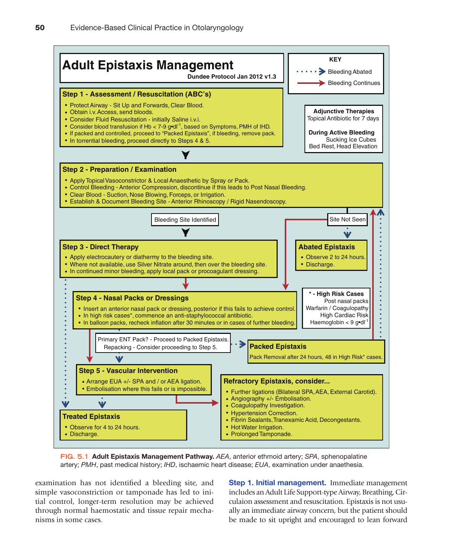

<span id="page-1-0"></span>**FIG. 5.1** Adult Epistaxis Management Pathway. *AEA*, anterior ethmoid artery; *SPA*, sphenopalatine artery; *PMH*, past medical history; *IHD*, ischaemic heart disease; *EUA*, examination under anaethesia.

examination has not identified a bleeding site, and simple vasoconstriction or tamponade has led to initial control, longer-term resolution may be achieved through normal haemostatic and tissue repair mechanisms in some cases.

Step 1. Initial management. Immediate management includes an Adult Life Support-type Airway, Breathing, Circulaion assessment and resuscitation. Epistaxis is not usually an immediate airway concern, but the patient should be made to sit upright and encouraged to lean forward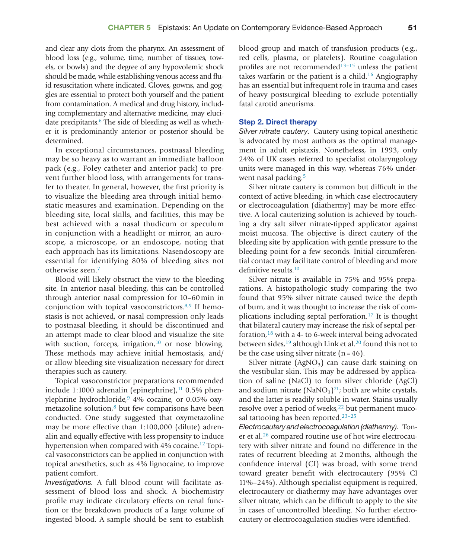and clear any clots from the pharynx. An assessment of blood loss (e.g., volume, time, number of tissues, towels, or bowls) and the degree of any hypovolemic shock should be made, while establishing venous access and fluid resuscitation where indicated. Gloves, gowns, and goggles are essential to protect both yourself and the patient from contamination. A medical and drug history, including complementary and alternative medicine, may elucidate precipitants.<sup>6</sup> The side of bleeding as well as whether it is predominantly anterior or posterior should be determined.

In exceptional circumstances, postnasal bleeding may be so heavy as to warrant an immediate balloon pack (e.g., Foley catheter and anterior pack) to prevent further blood loss, with arrangements for transfer to theater. In general, however, the first priority is to visualize the bleeding area through initial hemostatic measures and examination. Depending on the bleeding site, local skills, and facilities, this may be best achieved with a nasal thudicum or speculum in conjunction with a headlight or mirror, an auroscope, a microscope, or an endoscope, noting that each approach has its limitations. Nasendoscopy are essential for identifying 80% of bleeding sites not otherwise seen[.7](#page-6-6)

Blood will likely obstruct the view to the bleeding site. In anterior nasal bleeding, this can be controlled through anterior nasal compression for 10–60min in conjunction with topical vasoconstrictors. $8.9$  If hemostasis is not achieved, or nasal compression only leads to postnasal bleeding, it should be discontinued and an attempt made to clear blood and visualize the site with suction, forceps, irrigation, $10$  or nose blowing. These methods may achieve initial hemostasis, and/ or allow bleeding site visualization necessary for direct therapies such as cautery.

Topical vasoconstrictor preparations recommended include 1:1000 adrenalin (epinephrine), $11$  0.5% phen-ylephrine hydrochloride,<sup>[9](#page-6-10)</sup> 4% cocaine, or 0.05% oxymetazoline solution, $8$  but few comparisons have been conducted. One study suggested that oxymetazoline may be more effective than 1:100,000 (dilute) adrenalin and equally effective with less propensity to induce hypertension when compared with 4% cocaine.<sup>12</sup> Topical vasoconstrictors can be applied in conjunction with topical anesthetics, such as 4% lignocaine, to improve patient comfort.

*Investigations.* A full blood count will facilitate assessment of blood loss and shock. A biochemistry profile may indicate circulatory effects on renal function or the breakdown products of a large volume of ingested blood. A sample should be sent to establish

blood group and match of transfusion products (e.g., red cells, plasma, or platelets). Routine coagulation profiles are not recommended $13-15$  unless the patient takes warfarin or the patient is a child.<sup>16</sup> Angiography has an essential but infrequent role in trauma and cases of heavy postsurgical bleeding to exclude potentially fatal carotid aneurisms.

#### Step 2. Direct therapy

*Silver nitrate cautery.* Cautery using topical anesthetic is advocated by most authors as the optimal management in adult epistaxis. Nonetheless, in 1993, only 24% of UK cases referred to specialist otolaryngology units were managed in this way, whereas 76% underwent nasal packing.<sup>5</sup>

Silver nitrate cautery is common but difficult in the context of active bleeding, in which case electrocautery or electrocoagulation (diathermy) may be more effective. A local cauterizing solution is achieved by touching a dry salt silver nitrate-tipped applicator against moist mucosa. The objective is direct cautery of the bleeding site by application with gentle pressure to the bleeding point for a few seconds. Initial circumferential contact may facilitate control of bleeding and more definitive results.<sup>[10](#page-6-8)</sup>

Silver nitrate is available in 75% and 95% preparations. A histopathologic study comparing the two found that 95% silver nitrate caused twice the depth of burn, and it was thought to increase the risk of complications including septal perforation.[17](#page-7-1) It is thought that bilateral cautery may increase the risk of septal perforation, $18$  with a 4- to 6-week interval being advocated between sides, $19$  although Link et al.<sup>20</sup> found this not to be the case using silver nitrate  $(n=46)$ .

Silver nitrate  $(AgNO<sub>3</sub>)$  can cause dark staining on the vestibular skin. This may be addressed by application of saline (NaCl) to form silver chloride (AgCl) and sodium nitrate  $(NaNO<sub>3</sub>)<sup>21</sup>$ ; both are white crystals, and the latter is readily soluble in water. Stains usually resolve over a period of weeks,<sup>22</sup> but permanent mucosal tattooing has been reported.<sup>23-25</sup>

*Electrocautery and electrocoagulation (diathermy).* Toner et al.[26](#page-7-8) compared routine use of hot wire electrocautery with silver nitrate and found no difference in the rates of recurrent bleeding at 2months, although the confidence interval (CI) was broad, with some trend toward greater benefit with electrocautery (95% CI 11%–24%). Although specialist equipment is required, electrocautery or diathermy may have advantages over silver nitrate, which can be difficult to apply to the site in cases of uncontrolled bleeding. No further electrocautery or electrocoagulation studies were identified.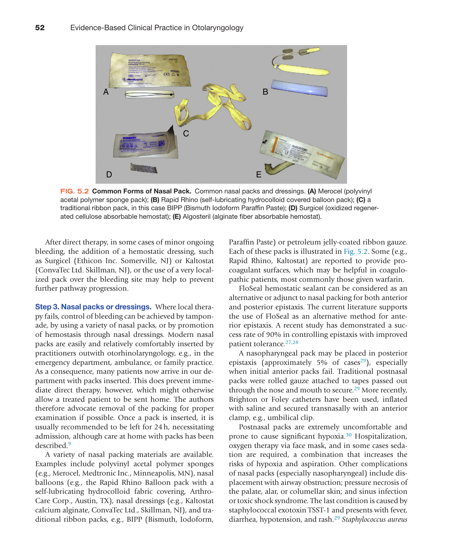

<span id="page-3-0"></span>**FIG. 5.2** Common Forms of Nasal Pack. Common nasal packs and dressings. (A) Merocel (polyvinyl acetal polymer sponge pack); (B) Rapid Rhino (self-lubricating hydrocolloid covered balloon pack); (C) a traditional ribbon pack, in this case BIPP (Bismuth Iodoform Paraffin Paste); (D) Surgicel (oxidized regenerated cellulose absorbable hemostat); (E) Algosteril (alginate fiber absorbable hemostat).

After direct therapy, in some cases of minor ongoing bleeding, the addition of a hemostatic dressing, such as Surgicel (Ethicon Inc. Somerville, NJ) or Kaltostat (ConvaTec Ltd. Skillman, NJ), or the use of a very localized pack over the bleeding site may help to prevent further pathway progression.

Step 3. Nasal packs or dressings. Where local therapy fails, control of bleeding can be achieved by tamponade, by using a variety of nasal packs, or by promotion of hemostasis through nasal dressings. Modern nasal packs are easily and relatively comfortably inserted by practitioners outwith otorhinolaryngology, e.g., in the emergency department, ambulance, or family practice. As a consequence, many patients now arrive in our department with packs inserted. This does prevent immediate direct therapy, however, which might otherwise allow a treated patient to be sent home. The authors therefore advocate removal of the packing for proper examination if possible. Once a pack is inserted, it is usually recommended to be left for 24h, necessitating admission, although care at home with packs has been described[.9](#page-6-10)

A variety of nasal packing materials are available. Examples include polyvinyl acetal polymer sponges (e.g., Merocel, Medtronic Inc., Minneapolis, MN), nasal balloons (e.g., the Rapid Rhino Balloon pack with a self-lubricating hydrocolloid fabric covering, Arthro-Care Corp., Austin, TX), nasal dressings (e.g., Kaltostat calcium alginate, ConvaTec Ltd., Skillman, NJ), and traditional ribbon packs, e.g., BIPP (Bismuth, Iodoform,

Paraffin Paste) or petroleum jelly-coated ribbon gauze. Each of these packs is illustrated in [Fig. 5.2.](#page-3-0) Some (e.g., Rapid Rhino, Kaltostat) are reported to provide procoagulant surfaces, which may be helpful in coagulopathic patients, most commonly those given warfarin.

FloSeal hemostatic sealant can be considered as an alternative or adjunct to nasal packing for both anterior and posterior epistaxis. The current literature supports the use of FloSeal as an alternative method for anterior epistaxis. A recent study has demonstrated a success rate of 90% in controlling epistaxis with improved patient tolerance[.27,28](#page-7-9)

A nasopharyngeal pack may be placed in posterior epistaxis (approximately 5% of cases<sup>29</sup>), especially when initial anterior packs fail. Traditional postnasal packs were rolled gauze attached to tapes passed out through the nose and mouth to secure.<sup>29</sup> More recently, Brighton or Foley catheters have been used, inflated with saline and secured transnasally with an anterior clamp, e.g., umbilical clip.

Postnasal packs are extremely uncomfortable and prone to cause significant hypoxia.[30](#page-7-11) Hospitalization, oxygen therapy via face mask, and in some cases sedation are required, a combination that increases the risks of hypoxia and aspiration. Other complications of nasal packs (especially nasopharyngeal) include displacement with airway obstruction; pressure necrosis of the palate, alar, or columellar skin; and sinus infection or toxic shock syndrome. The last condition is caused by staphylococcal exotoxin TSST-1 and presents with fever, diarrhea, hypotension, and rash.[29](#page-7-10) *Staphylococcus aureus*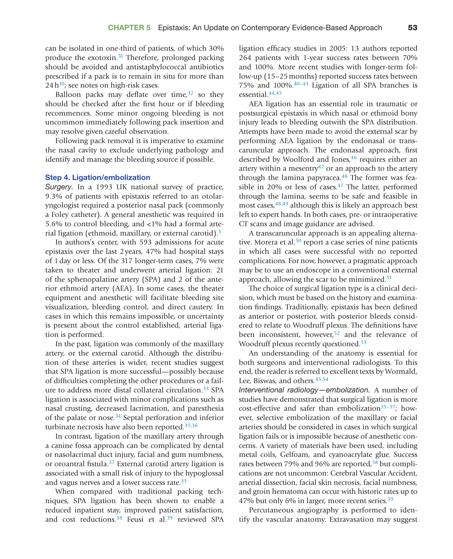can be isolated in one-third of patients, of which 30% produce the exotoxin.<sup>[31](#page-7-12)</sup> Therefore, prolonged packing should be avoided and antistaphylococcal antibiotics prescribed if a pack is to remain in situ for more than  $24 h^{10}$ ; see notes on high-risk cases.

Balloon packs may deflate over time,  $32$  so they should be checked after the first hour or if bleeding recommences. Some minor ongoing bleeding is not uncommon immediately following pack insertion and may resolve given careful observation.

Following pack removal it is imperative to examine the nasal cavity to exclude underlying pathology and identify and manage the bleeding source if possible.

#### Step 4. Ligation/embolization

*Surgery.* In a 1993 UK national survey of practice, 9.3% of patients with epistaxis referred to an otolaryngologist required a posterior nasal pack (commonly a Foley catheter). A general anesthetic was required in 5.6% to control bleeding, and <1% had a formal arterial ligation (ethmoid, maxillary, or external carotid)[.5](#page-6-4)

In authors's center, with 593 admissions for acute epistaxis over the last 2years, 47% had hospital stays of 1day or less. Of the 317 longer-term cases, 7% were taken to theater and underwent arterial ligation: 21 of the sphenopalatine artery (SPA) and 2 of the anterior ethmoid artery (AEA). In some cases, the theater equipment and anesthetic will facilitate bleeding site visualization, bleeding control, and direct cautery. In cases in which this remains impossible, or uncertainty is present about the control established, arterial ligation is performed.

In the past, ligation was commonly of the maxillary artery, or the external carotid. Although the distribution of these arteries is wider, recent studies suggest that SPA ligation is more successful—possibly because of difficulties completing the other procedures or a failure to address more distal collateral circulation.<sup>33</sup> SPA ligation is associated with minor complications such as nasal crusting, decreased lacrimation, and paresthesia of the palate or nose[.34](#page-7-15) Septal perforation and inferior turbinate necrosis have also been reported. $35,36$ 

In contrast, ligation of the maxillary artery through a canine fossa approach can be complicated by dental or nasolacrimal duct injury, facial and gum numbness, or oroantral fistula.[37](#page-7-17) External carotid artery ligation is associated with a small risk of injury to the hypoglossal and vagus nerves and a lower success rate.<sup>[33](#page-7-14)</sup>

When compared with traditional packing techniques, SPA ligation has been shown to enable a reduced inpatient stay, improved patient satisfaction, and cost reductions.<sup>38</sup> Feusi et al.<sup>39</sup> reviewed SPA

ligation efficacy studies in 2005: 13 authors reported 264 patients with 1-year success rates between 70% and 100%. More recent studies with longer-term follow-up (15–25months) reported success rates between 75% and 100%[.40–43](#page-7-20) Ligation of all SPA branches is essential[.44,45](#page-7-21)

AEA ligation has an essential role in traumatic or postsurgical epistaxis in which nasal or ethmoid bony injury leads to bleeding outwith the SPA distribution. Attempts have been made to avoid the external scar by performing AEA ligation by the endonasal or transcaruncular approach. The endonasal approach, first described by Woolford and Jones,<sup>46</sup> requires either an artery within a mesentry<sup>47</sup> or an approach to the artery through the lamina papyracea. $48$  The former was feasible in 20% or less of cases.<sup>47</sup> The latter, performed through the lamina, seems to be safe and feasible in most cases, <sup>48,49</sup> although this is likely an approach best left to expert hands. In both cases, pre- or intraoperative CT scans and image guidance are advised.

A transcaruncular approach is an appealing alterna-tive. Morera et al.<sup>[50](#page-7-25)</sup> report a case series of nine patients in which all cases were successful with no reported complications. For now, however, a pragmatic approach may be to use an endoscope in a conventional external approach, allowing the scar to be minimized.<sup>51</sup>

The choice of surgical ligation type is a clinical decision, which must be based on the history and examination findings. Traditionally, epistaxis has been defined as anterior or posterior, with posterior bleeds considered to relate to Woodruff plexus. The definitions have been inconsistent, however,<sup>52</sup> and the relevance of Woodruff plexus recently questioned.<sup>53</sup>

An understanding of the anatomy is essential for both surgeons and interventional radiologists. To this end, the reader is referred to excellent texts by Wormald, Lee, Biswas, and others.<sup>45,54</sup>

*Interventional radiology—embolization.* A number of studies have demonstrated that surgical ligation is more cost-effective and safer than embolization $55-57$ ; however, selective embolization of the maxillary or facial arteries should be considered in cases in which surgical ligation fails or is impossible because of anesthetic concerns. A variety of materials have been used, including metal coils, Gelfoam, and cyanoacrylate glue. Success rates between 79% and 96% are reported,<sup>58</sup> but complications are not uncommon: Cerebral Vascular Accident, arterial dissection, facial skin necrosis, facial numbness, and groin hematoma can occur with historic rates up to 47% but only 6% in larger, more recent series.<sup>59</sup>

Percutaneous angiography is performed to identify the vascular anatomy. Extravasation may suggest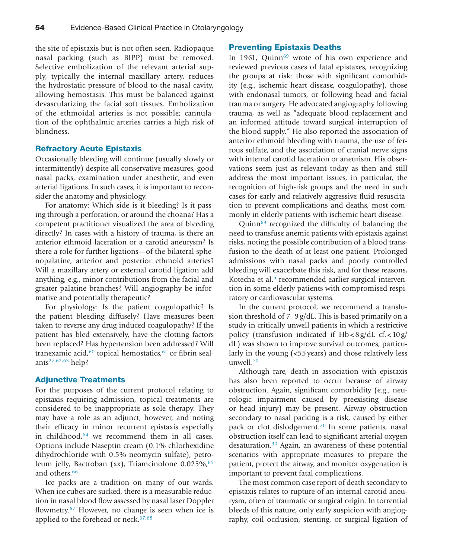the site of epistaxis but is not often seen. Radiopaque nasal packing (such as BIPP) must be removed. Selective embolization of the relevant arterial supply, typically the internal maxillary artery, reduces the hydrostatic pressure of blood to the nasal cavity, allowing hemostasis. This must be balanced against devascularizing the facial soft tissues. Embolization of the ethmoidal arteries is not possible; cannulation of the ophthalmic arteries carries a high risk of blindness.

### Refractory Acute Epistaxis

Occasionally bleeding will continue (usually slowly or intermittently) despite all conservative measures, good nasal packs, examination under anesthetic, and even arterial ligations. In such cases, it is important to reconsider the anatomy and physiology.

For anatomy: Which side is it bleeding? Is it passing through a perforation, or around the choana? Has a competent practitioner visualized the area of bleeding directly? In cases with a history of trauma, is there an anterior ethmoid laceration or a carotid aneurysm? Is there a role for further ligations—of the bilateral sphenopalatine, anterior and posterior ethmoid arteries? Will a maxillary artery or external carotid ligation add anything, e.g., minor contributions from the facial and greater palatine branches? Will angiography be informative and potentially therapeutic?

For physiology: Is the patient coagulopathic? Is the patient bleeding diffusely? Have measures been taken to reverse any drug-induced coagulopathy? If the patient has bled extensively, have the clotting factors been replaced? Has hypertension been addressed? Will tranexamic acid,<sup>60</sup> topical hemostatics,<sup>61</sup> or fibrin sealant[s27,62,63](#page-7-9) help?

#### Adjunctive Treatments

For the purposes of the current protocol relating to epistaxis requiring admission, topical treatments are considered to be inappropriate as sole therapy. They may have a role as an adjunct, however, and noting their efficacy in minor recurrent epistaxis especially in childhood[,64](#page-8-7) we recommend them in all cases. Options include Naseptin cream (0.1% chlorhexidine dihydrochloride with 0.5% neomycin sulfate), petro-leum jelly, Bactroban (xx), Triamcinolone 0.025%, [65](#page-8-8) and others.<sup>[66](#page-8-9)</sup>

Ice packs are a tradition on many of our wards. When ice cubes are sucked, there is a measurable reduction in nasal blood flow assessed by nasal laser Doppler flowmetry.<sup>67</sup> However, no change is seen when ice is applied to the forehead or neck.<sup>67,68</sup>

#### Preventing Epistaxis Deaths

In 1961, Quinn<sup>69</sup> wrote of his own experience and reviewed previous cases of fatal epistaxes, recognizing the groups at risk: those with significant comorbidity (e.g., ischemic heart disease, coagulopathy), those with endonasal tumors, or following head and facial trauma or surgery. He advocated angiography following trauma, as well as "adequate blood replacement and an informed attitude toward surgical interruption of the blood supply." He also reported the association of anterior ethmoid bleeding with trauma, the use of ferrous sulfate, and the association of cranial nerve signs with internal carotid laceration or aneurism. His observations seem just as relevant today as then and still address the most important issues, in particular, the recognition of high-risk groups and the need in such cases for early and relatively aggressive fluid resuscitation to prevent complications and deaths, most commonly in elderly patients with ischemic heart disease.

Quinn<sup>69</sup> recognized the difficulty of balancing the need to transfuse anemic patients with epistaxis against risks, noting the possible contribution of a blood transfusion to the death of at least one patient. Prolonged admissions with nasal packs and poorly controlled bleeding will exacerbate this risk, and for these reasons, Kotecha et al.<sup>5</sup> recommended earlier surgical intervention in some elderly patients with compromised respiratory or cardiovascular systems.

In the current protocol, we recommend a transfusion threshold of 7–9g/dL. This is based primarily on a study in critically unwell patients in which a restrictive policy (transfusion indicated if  $Hb < 8g/dL$  cf.  $< 10g/dL$ dL) was shown to improve survival outcomes, particularly in the young (<55years) and those relatively less unwell.[70](#page-8-12)

Although rare, death in association with epistaxis has also been reported to occur because of airway obstruction. Again, significant comorbidity (e.g., neurologic impairment caused by preexisting disease or head injury) may be present. Airway obstruction secondary to nasal packing is a risk, caused by either pack or clot dislodgement.<sup>71</sup> In some patients, nasal obstruction itself can lead to significant arterial oxygen desaturation.[30](#page-7-11) Again, an awareness of these potential scenarios with appropriate measures to prepare the patient, protect the airway, and monitor oxygenation is important to prevent fatal complications.

The most common case report of death secondary to epistaxis relates to rupture of an internal carotid aneurysm, often of traumatic or surgical origin. In torrential bleeds of this nature, only early suspicion with angiography, coil occlusion, stenting, or surgical ligation of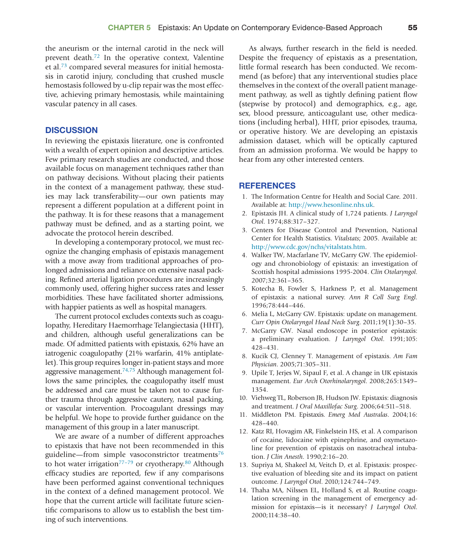the aneurism or the internal carotid in the neck will prevent death[.72](#page-8-14) In the operative context, Valentine et al.[73](#page-8-15) compared several measures for initial hemostasis in carotid injury, concluding that crushed muscle hemostasis followed by u-clip repair was the most effective, achieving primary hemostasis, while maintaining vascular patency in all cases.

#### **DISCUSSION**

In reviewing the epistaxis literature, one is confronted with a wealth of expert opinion and descriptive articles. Few primary research studies are conducted, and those available focus on management techniques rather than on pathway decisions. Without placing their patients in the context of a management pathway, these studies may lack transferability—our own patients may represent a different population at a different point in the pathway. It is for these reasons that a management pathway must be defined, and as a starting point, we advocate the protocol herein described.

In developing a contemporary protocol, we must recognize the changing emphasis of epistaxis management with a move away from traditional approaches of prolonged admissions and reliance on extensive nasal packing. Refined arterial ligation procedures are increasingly commonly used, offering higher success rates and lesser morbidities. These have facilitated shorter admissions, with happier patients as well as hospital managers.

The current protocol excludes contexts such as coagulopathy, Hereditary Haemorrhage Telangiectasia (HHT), and children, although useful generalizations can be made. Of admitted patients with epistaxis, 62% have an iatrogenic coagulopathy (21% warfarin, 41% antiplatelet). This group requires longer in-patient stays and more aggressive management. $74,75$  Although management follows the same principles, the coagulopathy itself must be addressed and care must be taken not to cause further trauma through aggressive cautery, nasal packing, or vascular intervention. Procoagulant dressings may be helpful. We hope to provide further guidance on the management of this group in a later manuscript.

We are aware of a number of different approaches to epistaxis that have not been recommended in this guideline—from simple vasoconstrictor treatments<sup>76</sup> to hot water irrigation<sup>77-79</sup> or cryotherapy.<sup>80</sup> Although efficacy studies are reported, few if any comparisons have been performed against conventional techniques in the context of a defined management protocol. We hope that the current article will facilitate future scientific comparisons to allow us to establish the best timing of such interventions.

As always, further research in the field is needed. Despite the frequency of epistaxis as a presentation, little formal research has been conducted. We recommend (as before) that any interventional studies place themselves in the context of the overall patient management pathway, as well as tightly defining patient flow (stepwise by protocol) and demographics, e.g., age, sex, blood pressure, anticoagulant use, other medications (including herbal), HHT, prior episodes, trauma, or operative history. We are developing an epistaxis admission dataset, which will be optically captured from an admission proforma. We would be happy to hear from any other interested centers.

#### **REFERENCES**

- <span id="page-6-0"></span>1. The Information Centre for Health and Social Care. 2011. Available at: [http://www.hesonline.nhs.uk.](http://wwwhesonline.nhs.uk)
- <span id="page-6-1"></span>2. Epistaxis JH. A clinical study of 1,724 patients. *J Laryngol Otol*. 1974;88:317–327.
- <span id="page-6-2"></span>3. Centers for Disease Control and Prevention, National Center for Health Statistics. *Vitalstats*; 2005. Available at: [http://www.cdc.gov/nchs/vitalstats.htm.](http://www.cdc.gov/nchs/vitalstats.htm)
- <span id="page-6-3"></span>4. Walker TW, Macfarlane TV, McGarry GW. The epidemiology and chronobiology of epistaxis: an investigation of Scottish hospital admissions 1995-2004. *Clin Otolaryngol*. 2007;32:361–365.
- <span id="page-6-4"></span>5. Kotecha B, Fowler S, Harkness P, et al. Management of epistaxis: a national survey. *Ann R Coll Surg Engl*. 1996;78:444–446.
- <span id="page-6-5"></span>6. Melia L, McGarry GW. Epistaxis: update on management. *Curr Opin Otolaryngol Head Neck Surg*. 2011;19(1):30–35.
- <span id="page-6-6"></span>7. McGarry GW. Nasal endoscope in posterior epistaxis: a preliminary evaluation. *J Laryngol Otol*. 1991;105: 428–431.
- <span id="page-6-7"></span>8. Kucik CJ, Clenney T. Management of epistaxis. *Am Fam Physician*. 2005;71:305–311.
- <span id="page-6-10"></span>9. Upile T, Jerjes W, Sipaul F, et al. A change in UK epistaxis management. *Eur Arch Otorhinolaryngol*. 2008;265:1349– 1354.
- <span id="page-6-8"></span>10. Viehweg TL, Roberson JB, Hudson JW. Epistaxis: diagnosis and treatment. *J Oral Maxillofac Surg*. 2006;64:511–518.
- <span id="page-6-9"></span>11. Middleton PM. Epistaxis. *Emerg Med Australas*. 2004;16: 428–440.
- <span id="page-6-11"></span>12. Katz RI, Hovagim AR, Finkelstein HS, et al. A comparison of cocaine, lidocaine with epinephrine, and oxymetazoline for prevention of epistaxis on nasotracheal intubation. *J Clin Anesth*. 1990;2:16–20.
- <span id="page-6-12"></span>13. Supriya M, Shakeel M, Veitch D, et al. Epistaxis: prospective evaluation of bleeding site and its impact on patient outcome. *J Laryngol Otol*. 2010;124:744–749.
- 14. Thaha MA, Nilssen EL, Holland S, et al. Routine coagulation screening in the management of emergency admission for epistaxis—is it necessary? *J Laryngol Otol*. 2000;114:38–40.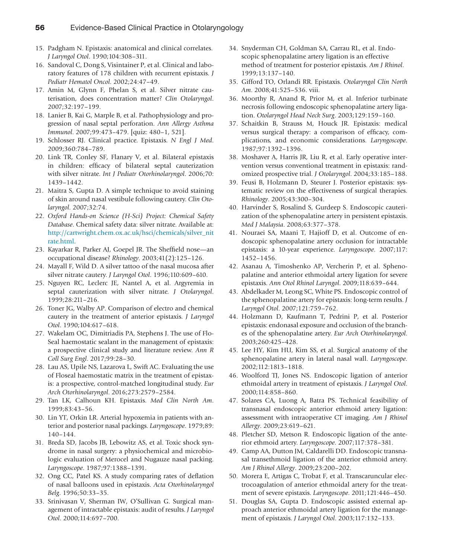- 15. Padgham N. Epistaxis: anatomical and clinical correlates. *J Laryngol Otol*. 1990;104:308–311.
- <span id="page-7-0"></span>16. Sandoval C, Dong S, Visintainer P, et al. Clinical and laboratory features of 178 children with recurrent epistaxis. *J Pediatr Hematol Oncol*. 2002;24:47–49.
- <span id="page-7-1"></span>17. Amin M, Glynn F, Phelan S, et al. Silver nitrate cauterisation, does concentration matter? *Clin Otolaryngol*. 2007;32:197–199.
- <span id="page-7-2"></span>18. Lanier B, Kai G, Marple B, et al. Pathophysiology and progression of nasal septal perforation. *Ann Allergy Asthma Immunol*. 2007;99:473–479. [quiz: 480–1, 521].
- <span id="page-7-3"></span>19. Schlosser RJ. Clinical practice. Epistaxis. *N Engl J Med*. 2009;360:784–789.
- <span id="page-7-4"></span>20. Link TR, Conley SF, Flanary V, et al. Bilateral epistaxis in children: efficacy of bilateral septal cauterization with silver nitrate. *Int J Pediatr Otorhinolaryngol*. 2006;70: 1439–1442.
- <span id="page-7-5"></span>21. Maitra S, Gupta D. A simple technique to avoid staining of skin around nasal vestibule following cautery. *Clin Otolaryngol*. 2007;32:74.
- <span id="page-7-6"></span>22. *Oxford Hands-on Science (H-Sci) Project: Chemical Safety Database*. Chemical safety data: silver nitrate. Available at: [http://cartwright.chem.ox.ac.uk/hsci/chemicals/silver\\_nit](http://cartwright.chem.ox.ac.uk/hsci/chemicals/silver_nitrate.html) [rate.html](http://cartwright.chem.ox.ac.uk/hsci/chemicals/silver_nitrate.html).
- <span id="page-7-7"></span>23. Kayarkar R, Parker AJ, Goepel JR. The Sheffield nose—an occupational disease? *Rhinology*. 2003;41(2):125–126.
- 24. Mayall F, Wild D. A silver tattoo of the nasal mucosa after silver nitrate cautery. *J Laryngol Otol*. 1996;110:609–610.
- 25. Nguyen RC, Leclerc JE, Nantel A, et al. Argyremia in septal cauterization with silver nitrate. *J Otolaryngol*. 1999;28:211–216.
- <span id="page-7-8"></span>26. Toner JG, Walby AP. Comparison of electro and chemical cautery in the treatment of anterior epistaxis. *J Laryngol Otol*. 1990;104:617–618.
- <span id="page-7-9"></span>27. Wakelam OC, Dimitriadis PA, Stephens J. The use of Flo-Seal haemostatic sealant in the management of epistaxis: a prospective clinical study and literature review. *Ann R Coll Surg Engl*. 2017;99:28–30.
- 28. Lau AS, Upile NS, Lazarova L, Swift AC. Evaluating the use of Floseal haemostatic matrix in the treatment of epistaxis: a prospective, control-matched longitudinal study. *Eur Arch Otorhinolaryngol*. 2016;273:2579–2584.
- <span id="page-7-10"></span>29. Tan LK, Calhoun KH. Epistaxis. *Med Clin North Am*. 1999;83:43–56.
- <span id="page-7-11"></span>30. Lin YT, Orkin LR. Arterial hypoxemia in patients with anterior and posterior nasal packings. *Laryngoscope*. 1979;89: 140–144.
- <span id="page-7-12"></span>31. Breda SD, Jacobs JB, Lebowitz AS, et al. Toxic shock syndrome in nasal surgery: a physiochemical and microbiologic evaluation of Merocel and Nugauze nasal packing. *Laryngoscope*. 1987;97:1388–1391.
- <span id="page-7-13"></span>32. Ong CC, Patel KS. A study comparing rates of deflation of nasal balloons used in epistaxis. *Acta Otorhinolaryngol Belg*. 1996;50:33–35.
- <span id="page-7-14"></span>33. Srinivasan V, Sherman IW, O'Sullivan G. Surgical management of intractable epistaxis: audit of results. *J Laryngol Otol*. 2000;114:697–700.
- <span id="page-7-15"></span>34. Snyderman CH, Goldman SA, Carrau RL, et al. Endoscopic sphenopalatine artery ligation is an effective method of treatment for posterior epistaxis. *Am J Rhinol*. 1999;13:137–140.
- <span id="page-7-16"></span>35. Gifford TO, Orlandi RR. Epistaxis. *Otolaryngol Clin North Am*. 2008;41:525–536. viii.
- 36. Moorthy R, Anand R, Prior M, et al. Inferior turbinate necrosis following endoscopic sphenopalatine artery ligation. *Otolaryngol Head Neck Surg*. 2003;129:159–160.
- <span id="page-7-17"></span>37. Schaitkin B, Strauss M, Houck JR. Epistaxis: medical versus surgical therapy: a comparison of efficacy, complications, and economic considerations. *Laryngoscope*. 1987;97:1392–1396.
- <span id="page-7-18"></span>38. Moshaver A, Harris JR, Liu R, et al. Early operative intervention versus conventional treatment in epistaxis: randomized prospective trial. *J Otolaryngol*. 2004;33:185–188.
- <span id="page-7-19"></span>39. Feusi B, Holzmann D, Steurer J. Posterior epistaxis: systematic review on the effectiveness of surgical therapies. *Rhinology*. 2005;43:300–304.
- <span id="page-7-20"></span>40. Harvinder S, Rosalind S, Gurdeep S. Endoscopic cauterization of the sphenopalatine artery in persistent epistaxis. *Med J Malaysia*. 2008;63:377–378.
- 41. Nouraei SA, Maani T, Hajioff D, et al. Outcome of endoscopic sphenopalatine artery occlusion for intractable epistaxis: a 10-year experience. *Laryngoscope*. 2007;117: 1452–1456.
- 42. Asanau A, Timoshenko AP, Vercherin P, et al. Sphenopalatine and anterior ethmoidal artery ligation for severe epistaxis. *Ann Otol Rhinol Laryngol*. 2009;118:639–644.
- 43. Abdelkader M, Leong SC, White PS. Endoscopic control of the sphenopalatine artery for epistaxis: long-term results. *J Laryngol Otol*. 2007;121:759–762.
- <span id="page-7-21"></span>44. Holzmann D, Kaufmann T, Pedrini P, et al. Posterior epistaxis: endonasal exposure and occlusion of the branches of the sphenopalatine artery. *Eur Arch Otorhinolaryngol*. 2003;260:425–428.
- <span id="page-7-27"></span>45. Lee HY, Kim HU, Kim SS, et al. Surgical anatomy of the sphenopalatine artery in lateral nasal wall. *Laryngoscope*. 2002;112:1813–1818.
- <span id="page-7-22"></span>46. Woolford TJ, Jones NS. Endoscopic ligation of anterior ethmoidal artery in treatment of epistaxis. *J Laryngol Otol*. 2000;114:858–860.
- <span id="page-7-23"></span>47. Solares CA, Luong A, Batra PS. Technical feasibility of transnasal endoscopic anterior ethmoid artery ligation: assessment with intraoperative CT imaging. *Am J Rhinol Allergy*. 2009;23:619–621.
- <span id="page-7-24"></span>48. Pletcher SD, Metson R. Endoscopic ligation of the anterior ethmoid artery. *Laryngoscope*. 2007;117:378–381.
- 49. Camp AA, Dutton JM, Caldarelli DD. Endoscopic transnasal transethmoid ligation of the anterior ethmoid artery. *Am J Rhinol Allergy*. 2009;23:200–202.
- <span id="page-7-25"></span>50. Morera E, Artigas C, Trobat F, et al. Transcaruncular electrocoagulation of anterior ethmoidal artery for the treatment of severe epistaxis. *Laryngoscope*. 2011;121:446–450.
- <span id="page-7-26"></span>51. Douglas SA, Gupta D. Endoscopic assisted external approach anterior ethmoidal artery ligation for the management of epistaxis. *J Laryngol Otol*. 2003;117:132–133.